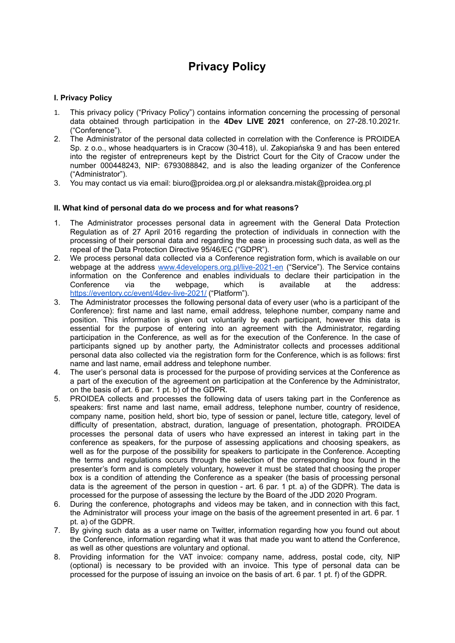# **Privacy Policy**

# **I. Privacy Policy**

- 1. This privacy policy ("Privacy Policy") contains information concerning the processing of personal data obtained through participation in the **4Dev LIVE 2021** conference, on 27-28.10.2021r. ("Conference").
- 2. The Administrator of the personal data collected in correlation with the Conference is PROIDEA Sp. z o.o., whose headquarters is in Cracow (30-418), ul. Zakopiańska 9 and has been entered into the register of entrepreneurs kept by the District Court for the City of Cracow under the number 000448243, NIP: 6793088842, and is also the leading organizer of the Conference ("Administrator").
- 3. You may contact us via email: [biuro@proidea.org.pl](mailto:biuro@proidea.org.pl) or aleksandra.mistak@proidea.org.pl

#### **II. What kind of personal data do we process and for what reasons?**

- 1. The Administrator processes personal data in agreement with the General Data Protection Regulation as of 27 April 2016 regarding the protection of individuals in connection with the processing of their personal data and regarding the ease in processing such data, as well as the repeal of the Data Protection Directive 95/46/EC ("GDPR").
- 2. We process personal data collected via a Conference registration form, which is available on our webpage at the address [www.4developers.org.pl/live-2021-en](http://www.4developers.org.pl/live-2021-en) ("Service"). The Service contains information on the Conference and enables individuals to declare their participation in the Conference via the webpage, which is available at the address: <https://eventory.cc/event/4dev-live-2021/> ("Platform").
- 3. The Administrator processes the following personal data of every user (who is a participant of the Conference): first name and last name, email address, telephone number, company name and position. This information is given out voluntarily by each participant, however this data is essential for the purpose of entering into an agreement with the Administrator, regarding participation in the Conference, as well as for the execution of the Conference. In the case of participants signed up by another party, the Administrator collects and processes additional personal data also collected via the registration form for the Conference, which is as follows: first name and last name, email address and telephone number.
- 4. The user's personal data is processed for the purpose of providing services at the Conference as a part of the execution of the agreement on participation at the Conference by the Administrator, on the basis of art. 6 par. 1 pt. b) of the GDPR.
- 5. PROIDEA collects and processes the following data of users taking part in the Conference as speakers: first name and last name, email address, telephone number, country of residence, company name, position held, short bio, type of session or panel, lecture title, category, level of difficulty of presentation, abstract, duration, language of presentation, photograph. PROIDEA processes the personal data of users who have expressed an interest in taking part in the conference as speakers, for the purpose of assessing applications and choosing speakers, as well as for the purpose of the possibility for speakers to participate in the Conference. Accepting the terms and regulations occurs through the selection of the corresponding box found in the presenter's form and is completely voluntary, however it must be stated that choosing the proper box is a condition of attending the Conference as a speaker (the basis of processing personal data is the agreement of the person in question - art. 6 par. 1 pt. a) of the GDPR). The data is processed for the purpose of assessing the lecture by the Board of the JDD 2020 Program.
- 6. During the conference, photographs and videos may be taken, and in connection with this fact, the Administrator will process your image on the basis of the agreement presented in art. 6 par. 1 pt. a) of the GDPR.
- 7. By giving such data as a user name on Twitter, information regarding how you found out about the Conference, information regarding what it was that made you want to attend the Conference, as well as other questions are voluntary and optional.
- 8. Providing information for the VAT invoice: company name, address, postal code, city, NIP (optional) is necessary to be provided with an invoice. This type of personal data can be processed for the purpose of issuing an invoice on the basis of art. 6 par. 1 pt. f) of the GDPR.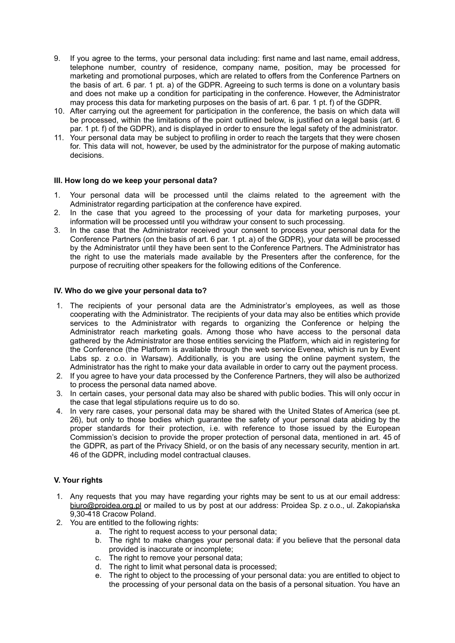- 9. If you agree to the terms, your personal data including: first name and last name, email address, telephone number, country of residence, company name, position, may be processed for marketing and promotional purposes, which are related to offers from the Conference Partners on the basis of art. 6 par. 1 pt. a) of the GDPR. Agreeing to such terms is done on a voluntary basis and does not make up a condition for participating in the conference. However, the Administrator may process this data for marketing purposes on the basis of art. 6 par. 1 pt. f) of the GDPR.
- 10. After carrying out the agreement for participation in the conference, the basis on which data will be processed, within the limitations of the point outlined below, is justified on a legal basis (art. 6 par. 1 pt. f) of the GDPR), and is displayed in order to ensure the legal safety of the administrator.
- 11. Your personal data may be subject to profiling in order to reach the targets that they were chosen for. This data will not, however, be used by the administrator for the purpose of making automatic decisions.

# **III. How long do we keep your personal data?**

- 1. Your personal data will be processed until the claims related to the agreement with the Administrator regarding participation at the conference have expired.
- 2. In the case that you agreed to the processing of your data for marketing purposes, your information will be processed until you withdraw your consent to such processing.
- 3. In the case that the Administrator received your consent to process your personal data for the Conference Partners (on the basis of art. 6 par. 1 pt. a) of the GDPR), your data will be processed by the Administrator until they have been sent to the Conference Partners. The Administrator has the right to use the materials made available by the Presenters after the conference, for the purpose of recruiting other speakers for the following editions of the Conference.

#### **IV. Who do we give your personal data to?**

- 1. The recipients of your personal data are the Administrator's employees, as well as those cooperating with the Administrator. The recipients of your data may also be entities which provide services to the Administrator with regards to organizing the Conference or helping the Administrator reach marketing goals. Among those who have access to the personal data gathered by the Administrator are those entities servicing the Platform, which aid in registering for the Conference (the Platform is available through the web service Evenea, which is run by Event Labs sp. z o.o. in Warsaw). Additionally, is you are using the online payment system, the Administrator has the right to make your data available in order to carry out the payment process.
- 2. If you agree to have your data processed by the Conference Partners, they will also be authorized to process the personal data named above.
- 3. In certain cases, your personal data may also be shared with public bodies. This will only occur in the case that legal stipulations require us to do so.
- 4. In very rare cases, your personal data may be shared with the United States of America (see pt. 26), but only to those bodies which guarantee the safety of your personal data abiding by the proper standards for their protection, i.e. with reference to those issued by the European Commission's decision to provide the proper protection of personal data, mentioned in art. 45 of the GDPR, as part of the Privacy Shield, or on the basis of any necessary security, mention in art. 46 of the GDPR, including model contractual clauses.

## **V. Your rights**

- 1. Any requests that you may have regarding your rights may be sent to us at our email address: [biuro@proidea.org.pl](mailto:biuro@proidea.org.pl) or mailed to us by post at our address: Proidea Sp. z o.o., ul. Zakopiańska 9,30-418 Cracow Poland.
- 2. You are entitled to the following rights:
	- a. The right to request access to your personal data;
	- b. The right to make changes your personal data: if you believe that the personal data provided is inaccurate or incomplete;
	- c. The right to remove your personal data;
	- d. The right to limit what personal data is processed;
	- e. The right to object to the processing of your personal data: you are entitled to object to the processing of your personal data on the basis of a personal situation. You have an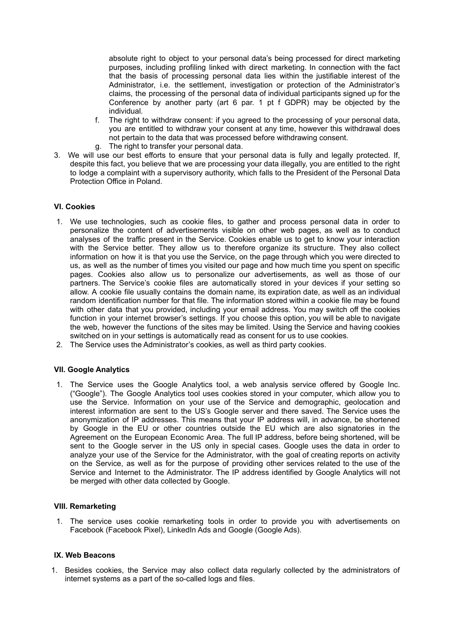absolute right to object to your personal data's being processed for direct marketing purposes, including profiling linked with direct marketing. In connection with the fact that the basis of processing personal data lies within the justifiable interest of the Administrator, i.e. the settlement, investigation or protection of the Administrator's claims, the processing of the personal data of individual participants signed up for the Conference by another party (art 6 par. 1 pt f GDPR) may be objected by the individual.

- f. The right to withdraw consent: if you agreed to the processing of your personal data, you are entitled to withdraw your consent at any time, however this withdrawal does not pertain to the data that was processed before withdrawing consent.
- g. The right to transfer your personal data.
- 3. We will use our best efforts to ensure that your personal data is fully and legally protected. If, despite this fact, you believe that we are processing your data illegally, you are entitled to the right to lodge a complaint with a supervisory authority, which falls to the President of the Personal Data Protection Office in Poland.

# **VI. Cookies**

- 1. We use technologies, such as cookie files, to gather and process personal data in order to personalize the content of advertisements visible on other web pages, as well as to conduct analyses of the traffic present in the Service. Cookies enable us to get to know your interaction with the Service better. They allow us to therefore organize its structure. They also collect information on how it is that you use the Service, on the page through which you were directed to us, as well as the number of times you visited our page and how much time you spent on specific pages. Cookies also allow us to personalize our advertisements, as well as those of our partners. The Service's cookie files are automatically stored in your devices if your setting so allow. A cookie file usually contains the domain name, its expiration date, as well as an individual random identification number for that file. The information stored within a cookie file may be found with other data that you provided, including your email address. You may switch off the cookies function in your internet browser's settings. If you choose this option, you will be able to navigate the web, however the functions of the sites may be limited. Using the Service and having cookies switched on in your settings is automatically read as consent for us to use cookies.
- 2. The Service uses the Administrator's cookies, as well as third party cookies.

# **VII. Google Analytics**

1. The Service uses the Google Analytics tool, a web analysis service offered by Google Inc. ("Google"). The Google Analytics tool uses cookies stored in your computer, which allow you to use the Service. Information on your use of the Service and demographic, geolocation and interest information are sent to the US's Google server and there saved. The Service uses the anonymization of IP addresses. This means that your IP address will, in advance, be shortened by Google in the EU or other countries outside the EU which are also signatories in the Agreement on the European Economic Area. The full IP address, before being shortened, will be sent to the Google server in the US only in special cases. Google uses the data in order to analyze your use of the Service for the Administrator, with the goal of creating reports on activity on the Service, as well as for the purpose of providing other services related to the use of the Service and Internet to the Administrator. The IP address identified by Google Analytics will not be merged with other data collected by Google.

#### **VIII. Remarketing**

1. The service uses cookie remarketing tools in order to provide you with advertisements on Facebook (Facebook Pixel), LinkedIn Ads and Google (Google Ads).

## **IX. Web Beacons**

1. Besides cookies, the Service may also collect data regularly collected by the administrators of internet systems as a part of the so-called logs and files.